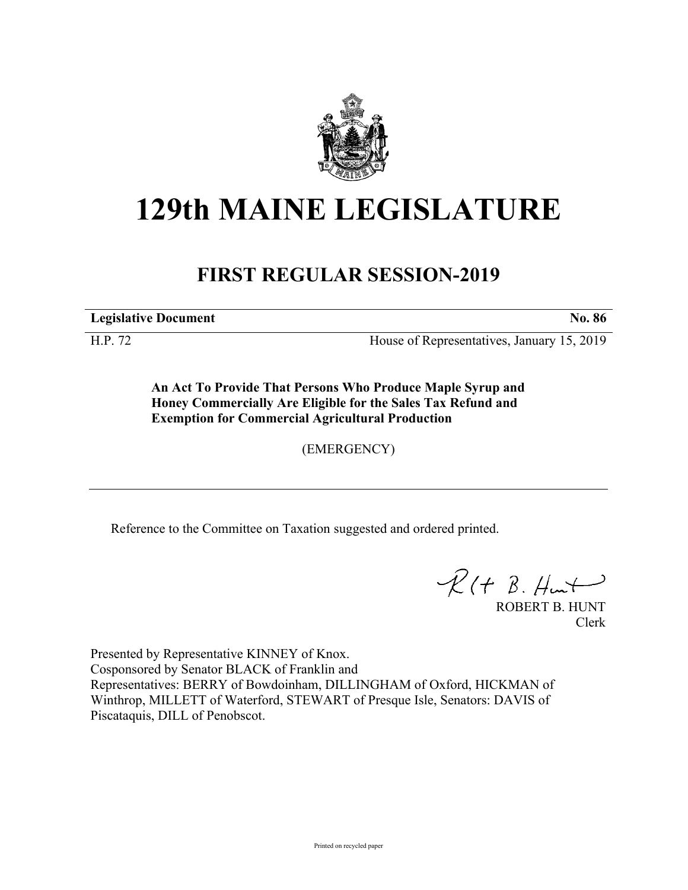

## **129th MAINE LEGISLATURE**

## **FIRST REGULAR SESSION-2019**

**Legislative Document No. 86**

H.P. 72 House of Representatives, January 15, 2019

**An Act To Provide That Persons Who Produce Maple Syrup and Honey Commercially Are Eligible for the Sales Tax Refund and Exemption for Commercial Agricultural Production**

(EMERGENCY)

Reference to the Committee on Taxation suggested and ordered printed.

 $R(H B. H<sub>un</sub>)$ 

ROBERT B. HUNT Clerk

Presented by Representative KINNEY of Knox. Cosponsored by Senator BLACK of Franklin and Representatives: BERRY of Bowdoinham, DILLINGHAM of Oxford, HICKMAN of Winthrop, MILLETT of Waterford, STEWART of Presque Isle, Senators: DAVIS of Piscataquis, DILL of Penobscot.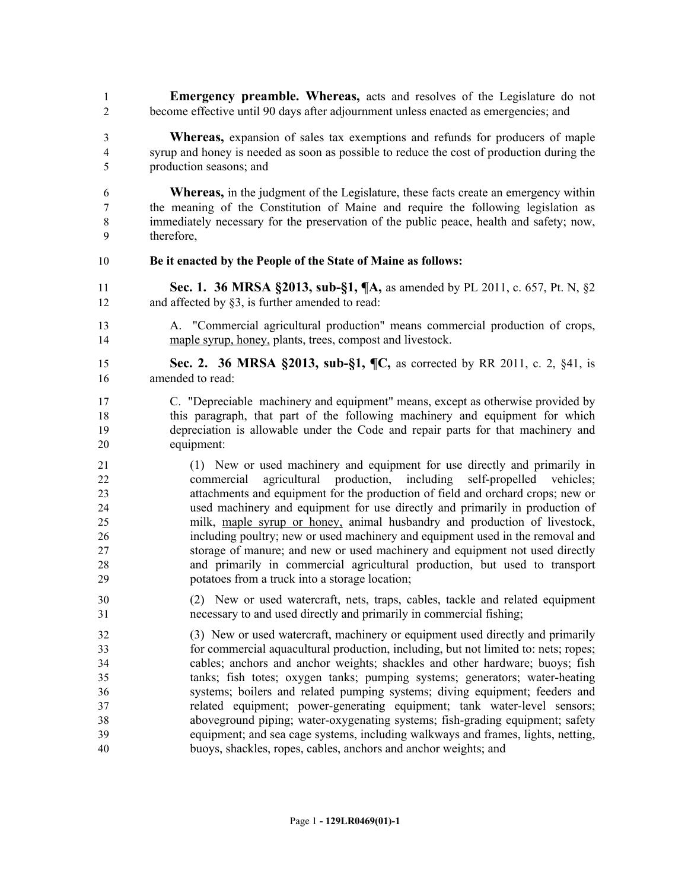- **Emergency preamble. Whereas,** acts and resolves of the Legislature do not become effective until 90 days after adjournment unless enacted as emergencies; and
- **Whereas,** expansion of sales tax exemptions and refunds for producers of maple syrup and honey is needed as soon as possible to reduce the cost of production during the production seasons; and
- **Whereas,** in the judgment of the Legislature, these facts create an emergency within the meaning of the Constitution of Maine and require the following legislation as immediately necessary for the preservation of the public peace, health and safety; now, therefore,

## **Be it enacted by the People of the State of Maine as follows:**

- **Sec. 1. 36 MRSA §2013, sub-§1, ¶A,** as amended by PL 2011, c. 657, Pt. N, §2 12 and affected by  $\S$ 3, is further amended to read:
- A. "Commercial agricultural production" means commercial production of crops, maple syrup, honey, plants, trees, compost and livestock.
- **Sec. 2. 36 MRSA §2013, sub-§1, ¶C,** as corrected by RR 2011, c. 2, §41, is amended to read:
- C. "Depreciable machinery and equipment" means, except as otherwise provided by this paragraph, that part of the following machinery and equipment for which depreciation is allowable under the Code and repair parts for that machinery and equipment:
- (1) New or used machinery and equipment for use directly and primarily in commercial agricultural production, including self-propelled vehicles; attachments and equipment for the production of field and orchard crops; new or used machinery and equipment for use directly and primarily in production of milk, maple syrup or honey, animal husbandry and production of livestock, including poultry; new or used machinery and equipment used in the removal and storage of manure; and new or used machinery and equipment not used directly and primarily in commercial agricultural production, but used to transport potatoes from a truck into a storage location;
- (2) New or used watercraft, nets, traps, cables, tackle and related equipment necessary to and used directly and primarily in commercial fishing;
- (3) New or used watercraft, machinery or equipment used directly and primarily for commercial aquacultural production, including, but not limited to: nets; ropes; cables; anchors and anchor weights; shackles and other hardware; buoys; fish tanks; fish totes; oxygen tanks; pumping systems; generators; water-heating systems; boilers and related pumping systems; diving equipment; feeders and related equipment; power-generating equipment; tank water-level sensors; aboveground piping; water-oxygenating systems; fish-grading equipment; safety equipment; and sea cage systems, including walkways and frames, lights, netting, buoys, shackles, ropes, cables, anchors and anchor weights; and